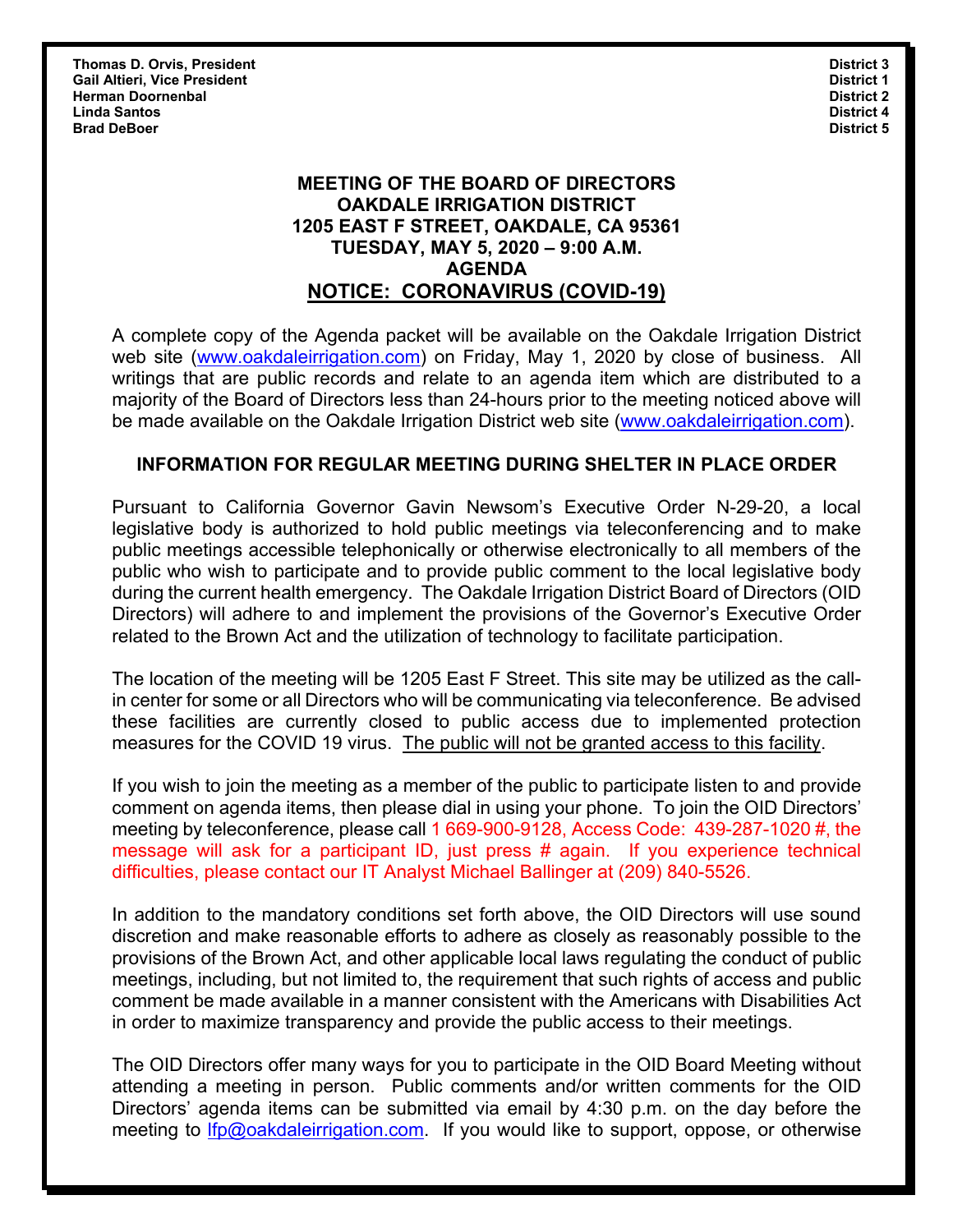**Thomas D. Orvis, President Contract 2** and 2 and 2 and 2 and 2 and 2 and 2 and 2 and 2 and 2 and 2 and 2 and 2 and 2 and 2 and 2 and 2 and 2 and 2 and 2 and 2 and 2 and 2 and 2 and 2 and 2 and 2 and 2 and 2 and 2 and 2 an **Gail Altieri, Vice President District 1 Herman Doornenbal District 2 Linda Santos District 4 Brad DeBoer District 5**

### **MEETING OF THE BOARD OF DIRECTORS OAKDALE IRRIGATION DISTRICT 1205 EAST F STREET, OAKDALE, CA 95361 TUESDAY, MAY 5, 2020 – 9:00 A.M. AGENDA NOTICE: CORONAVIRUS (COVID-19)**

A complete copy of the Agenda packet will be available on the Oakdale Irrigation District web site (www.oakdaleirrigation.com) on Friday, May 1, 2020 by close of business. All writings that are public records and relate to an agenda item which are distributed to a majority of the Board of Directors less than 24-hours prior to the meeting noticed above will be made available on the Oakdale Irrigation District web site (www.oakdaleirrigation.com).

#### **INFORMATION FOR REGULAR MEETING DURING SHELTER IN PLACE ORDER**

Pursuant to California Governor Gavin Newsom's Executive Order N-29-20, a local legislative body is authorized to hold public meetings via teleconferencing and to make public meetings accessible telephonically or otherwise electronically to all members of the public who wish to participate and to provide public comment to the local legislative body during the current health emergency. The Oakdale Irrigation District Board of Directors (OID Directors) will adhere to and implement the provisions of the Governor's Executive Order related to the Brown Act and the utilization of technology to facilitate participation.

The location of the meeting will be 1205 East F Street. This site may be utilized as the callin center for some or all Directors who will be communicating via teleconference. Be advised these facilities are currently closed to public access due to implemented protection measures for the COVID 19 virus. The public will not be granted access to this facility.

If you wish to join the meeting as a member of the public to participate listen to and provide comment on agenda items, then please dial in using your phone. To join the OID Directors' meeting by teleconference, please call 1 669-900-9128, Access Code: 439-287-1020 #, the message will ask for a participant ID, just press # again. If you experience technical difficulties, please contact our IT Analyst Michael Ballinger at (209) 840-5526.

In addition to the mandatory conditions set forth above, the OID Directors will use sound discretion and make reasonable efforts to adhere as closely as reasonably possible to the provisions of the Brown Act, and other applicable local laws regulating the conduct of public meetings, including, but not limited to, the requirement that such rights of access and public comment be made available in a manner consistent with the Americans with Disabilities Act in order to maximize transparency and provide the public access to their meetings.

The OID Directors offer many ways for you to participate in the OID Board Meeting without attending a meeting in person. Public comments and/or written comments for the OID Directors' agenda items can be submitted via email by 4:30 p.m. on the day before the meeting to *lfp@oakdaleirrigation.com.* If you would like to support, oppose, or otherwise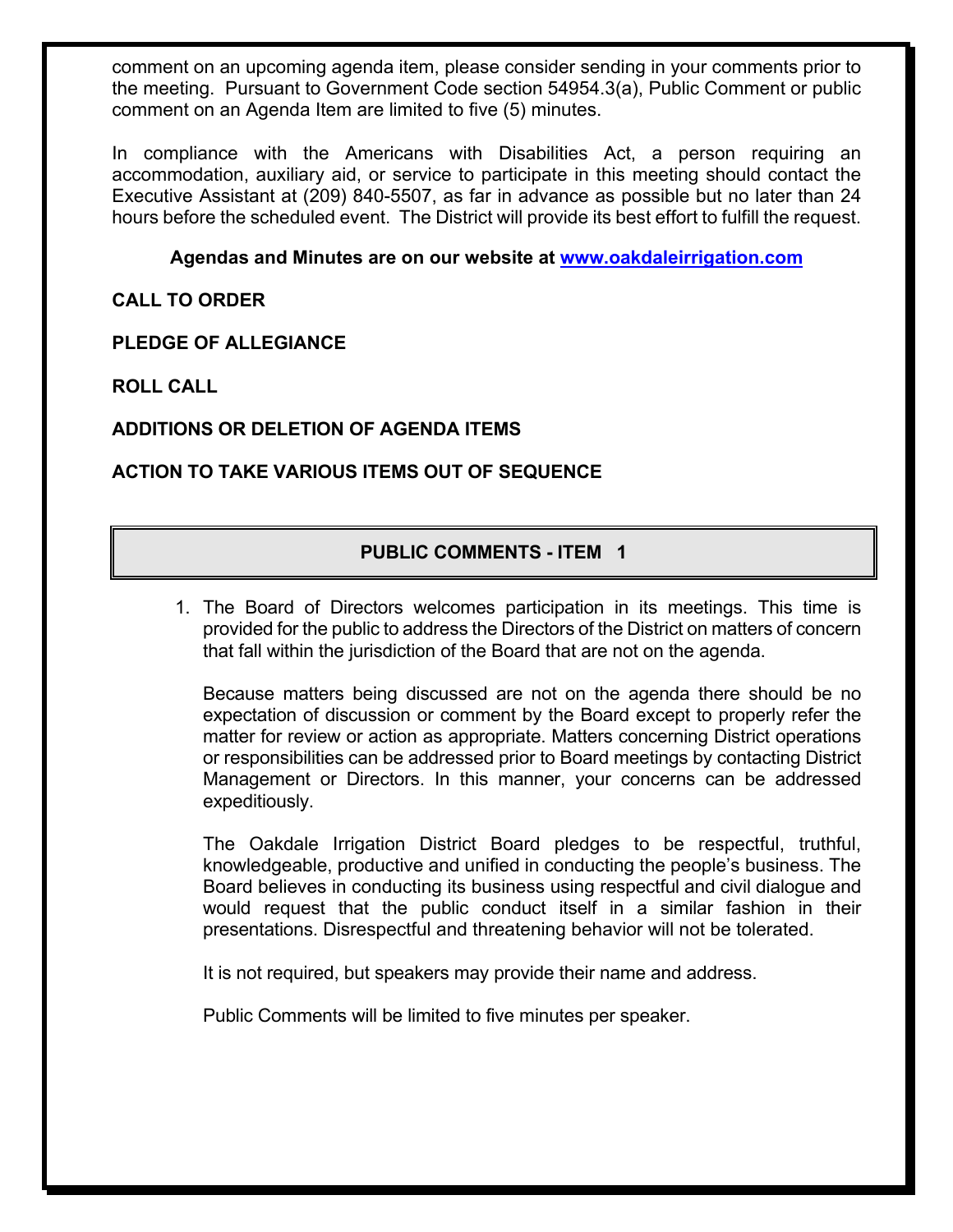comment on an upcoming agenda item, please consider sending in your comments prior to the meeting. Pursuant to Government Code section 54954.3(a), Public Comment or public comment on an Agenda Item are limited to five (5) minutes.

In compliance with the Americans with Disabilities Act, a person requiring an accommodation, auxiliary aid, or service to participate in this meeting should contact the Executive Assistant at (209) 840-5507, as far in advance as possible but no later than 24 hours before the scheduled event. The District will provide its best effort to fulfill the request.

# **Agendas and Minutes are on our website at www.oakdaleirrigation.com**

**CALL TO ORDER**

**PLEDGE OF ALLEGIANCE** 

**ROLL CALL**

# **ADDITIONS OR DELETION OF AGENDA ITEMS**

# **ACTION TO TAKE VARIOUS ITEMS OUT OF SEQUENCE**

# **PUBLIC COMMENTS - ITEM 1**

1. The Board of Directors welcomes participation in its meetings. This time is provided for the public to address the Directors of the District on matters of concern that fall within the jurisdiction of the Board that are not on the agenda.

Because matters being discussed are not on the agenda there should be no expectation of discussion or comment by the Board except to properly refer the matter for review or action as appropriate. Matters concerning District operations or responsibilities can be addressed prior to Board meetings by contacting District Management or Directors. In this manner, your concerns can be addressed expeditiously.

The Oakdale Irrigation District Board pledges to be respectful, truthful, knowledgeable, productive and unified in conducting the people's business. The Board believes in conducting its business using respectful and civil dialogue and would request that the public conduct itself in a similar fashion in their presentations. Disrespectful and threatening behavior will not be tolerated.

It is not required, but speakers may provide their name and address.

Public Comments will be limited to five minutes per speaker.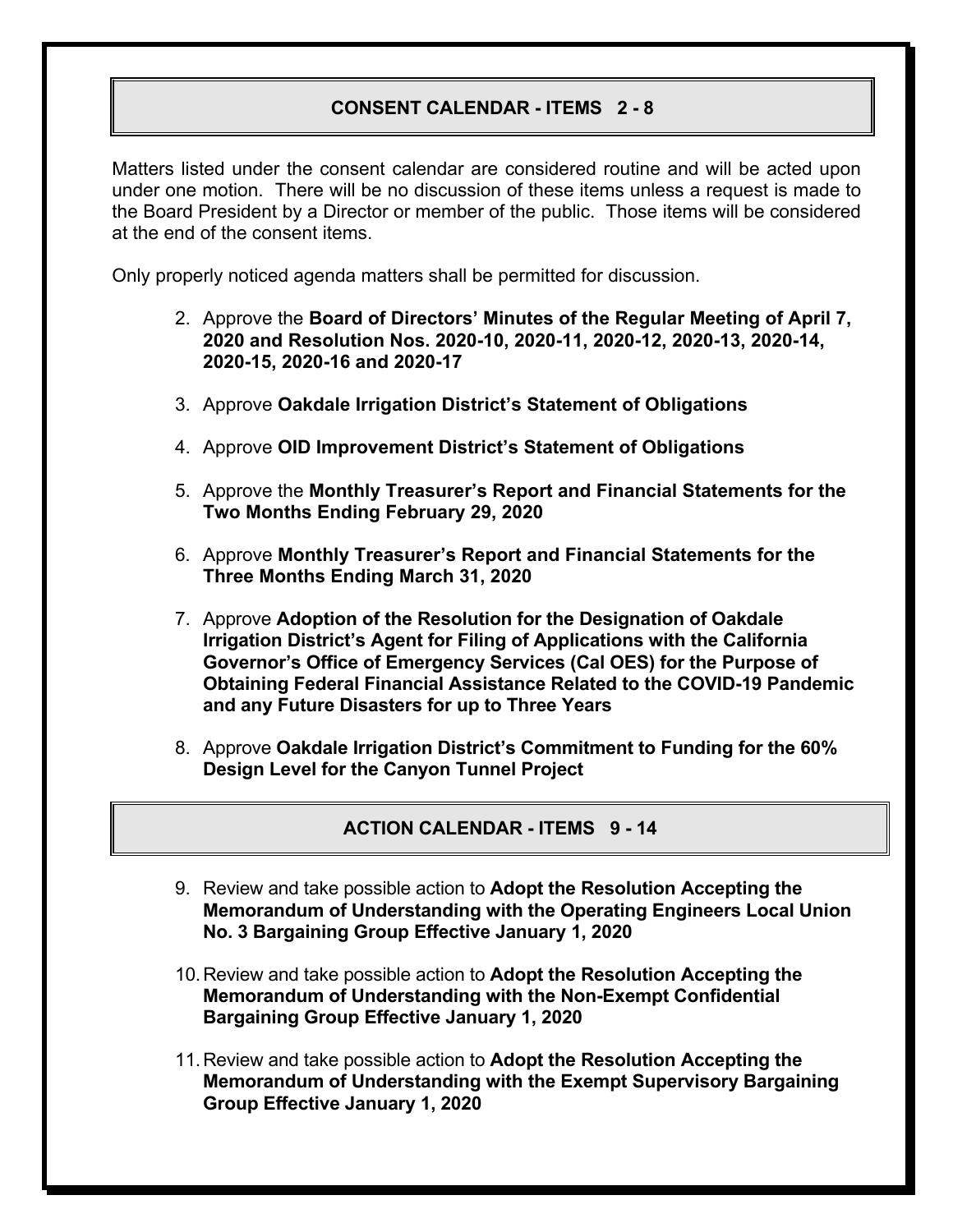# **CONSENT CALENDAR - ITEMS 2 - 8**

Matters listed under the consent calendar are considered routine and will be acted upon under one motion. There will be no discussion of these items unless a request is made to the Board President by a Director or member of the public. Those items will be considered at the end of the consent items.

Only properly noticed agenda matters shall be permitted for discussion.

- 2. Approve the **Board of Directors' Minutes of the Regular Meeting of April 7, 2020 and Resolution Nos. 2020-10, 2020-11, 2020-12, 2020-13, 2020-14, 2020-15, 2020-16 and 2020-17**
- 3. Approve **Oakdale Irrigation District's Statement of Obligations**
- 4. Approve **OID Improvement District's Statement of Obligations**
- 5. Approve the **Monthly Treasurer's Report and Financial Statements for the Two Months Ending February 29, 2020**
- 6. Approve **Monthly Treasurer's Report and Financial Statements for the Three Months Ending March 31, 2020**
- 7. Approve **Adoption of the Resolution for the Designation of Oakdale Irrigation District's Agent for Filing of Applications with the California Governor's Office of Emergency Services (Cal OES) for the Purpose of Obtaining Federal Financial Assistance Related to the COVID-19 Pandemic and any Future Disasters for up to Three Years**
- 8. Approve **Oakdale Irrigation District's Commitment to Funding for the 60% Design Level for the Canyon Tunnel Project**

**ACTION CALENDAR - ITEMS 9 - 14** 

- 9. Review and take possible action to **Adopt the Resolution Accepting the Memorandum of Understanding with the Operating Engineers Local Union No. 3 Bargaining Group Effective January 1, 2020**
- 10. Review and take possible action to **Adopt the Resolution Accepting the Memorandum of Understanding with the Non-Exempt Confidential Bargaining Group Effective January 1, 2020**
- 11. Review and take possible action to **Adopt the Resolution Accepting the Memorandum of Understanding with the Exempt Supervisory Bargaining Group Effective January 1, 2020**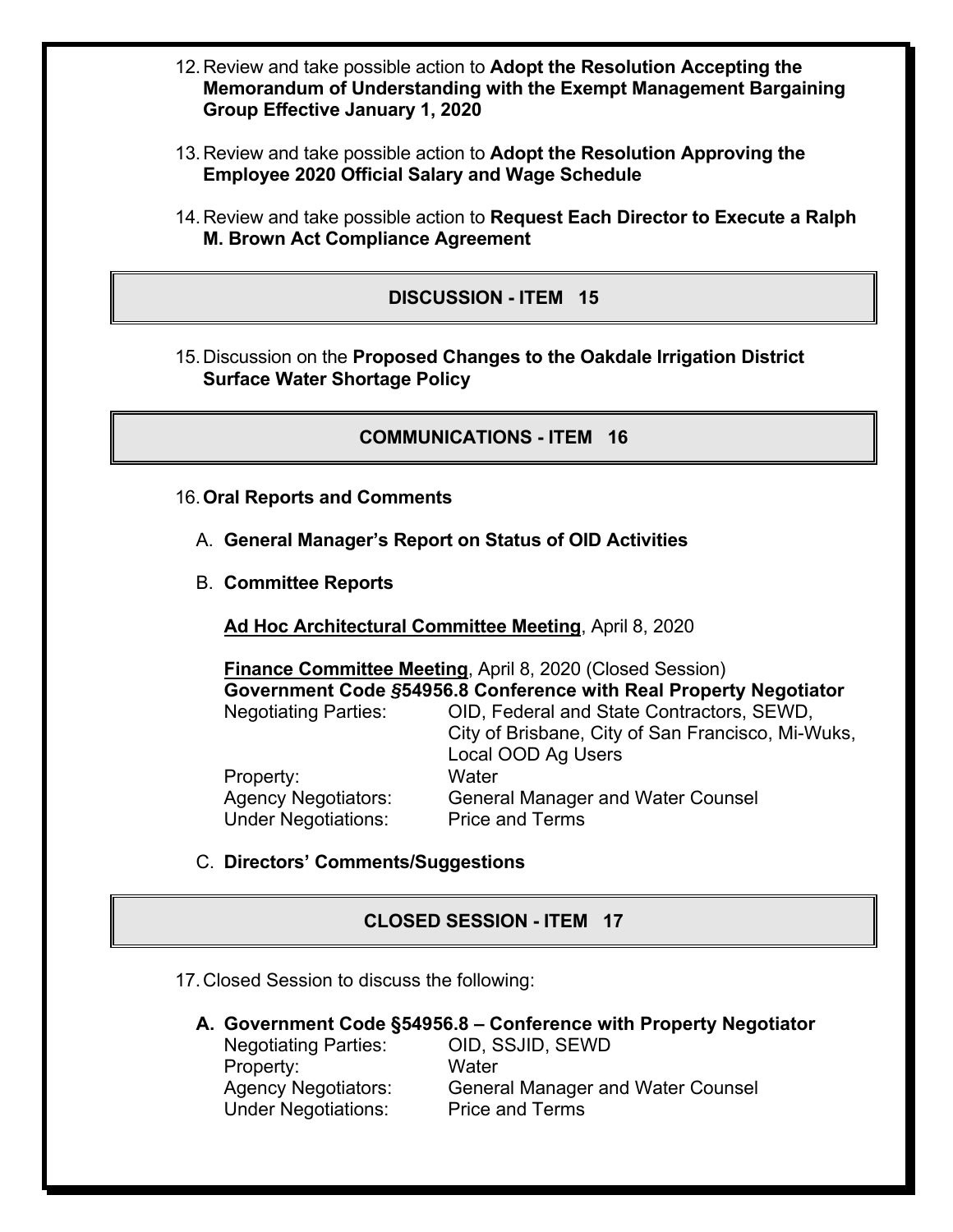- 12. Review and take possible action to **Adopt the Resolution Accepting the Memorandum of Understanding with the Exempt Management Bargaining Group Effective January 1, 2020**
- 13. Review and take possible action to **Adopt the Resolution Approving the Employee 2020 Official Salary and Wage Schedule**
- 14. Review and take possible action to **Request Each Director to Execute a Ralph M. Brown Act Compliance Agreement**

### **DISCUSSION - ITEM 15**

15. Discussion on the **Proposed Changes to the Oakdale Irrigation District Surface Water Shortage Policy**

### **COMMUNICATIONS - ITEM 16**

- 16. **Oral Reports and Comments**
	- A. **General Manager's Report on Status of OID Activities**
	- B. **Committee Reports**

**Ad Hoc Architectural Committee Meeting**, April 8, 2020

**Finance Committee Meeting**, April 8, 2020 (Closed Session) **Government Code** *§***54956.8 Conference with Real Property Negotiator** Negotiating Parties: OID, Federal and State Contractors, SEWD,

 City of Brisbane, City of San Francisco, Mi-Wuks, Local OOD Ag Users Property: Water Agency Negotiators: General Manager and Water Counsel Under Negotiations:Price and Terms

### C. **Directors' Comments/Suggestions**

### **CLOSED SESSION - ITEM 17**

17. Closed Session to discuss the following:

**A. Government Code §54956.8 – Conference with Property Negotiator** 

Negotiating Parties: OID, SSJID, SEWD Property: Water Agency Negotiators: General Manager and Water Counsel Under Negotiations: Price and Terms